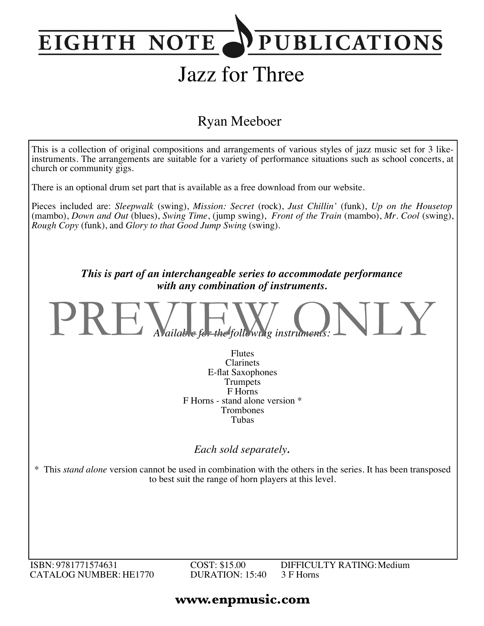## **PUBLICATIONS EIGHTH NOTE**

# Jazz for Three

### Ryan Meeboer



ISBN: 9781771574631 CATALOG NUMBER: HE1770 COST: \$15.00 DURATION: 15:40 DIFFICULTY RATING:Medium 3 F Horns

#### **www.enpmusic.com**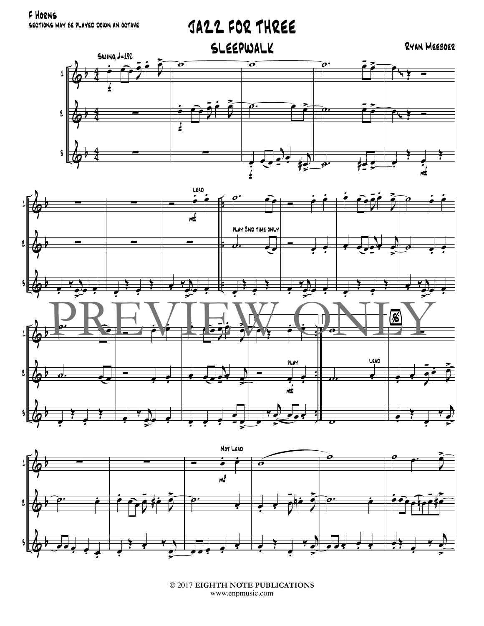F HORNS SECTIONS MAY BE PLAYED DOWN AN OCTAVE







<sup>© 2017</sup> EIGHTH NOTE PUBLICATIONS www.enpmusic.com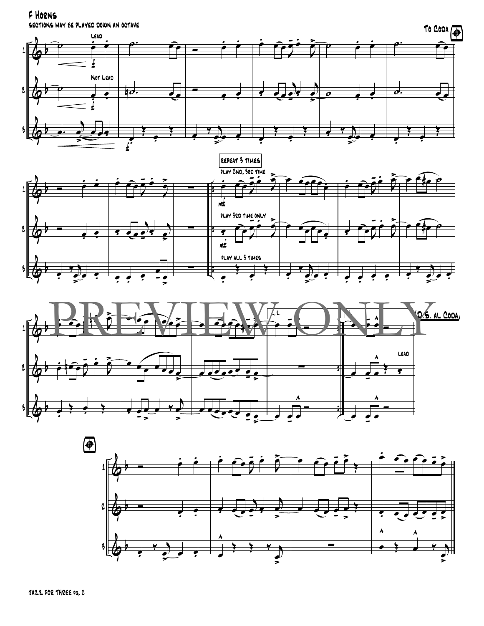F HORNS SECTIONS MAY BE PLAYED DOWN AN OCTAVE







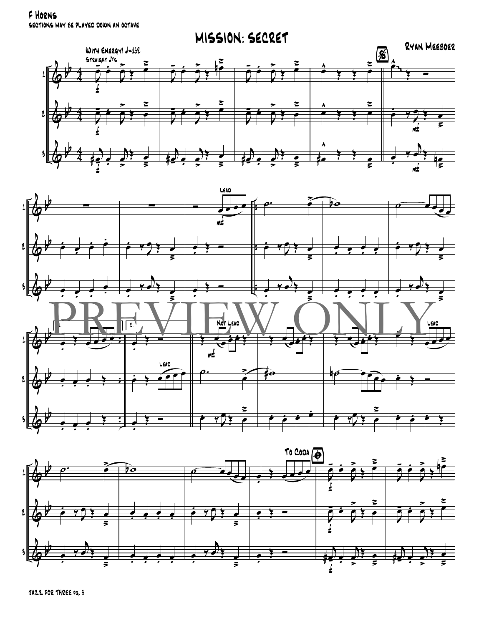F HORNS SECTIONS MAY BE PLAYED DOWN AN OCTAVE







JAZZ FOR THREE PG. 3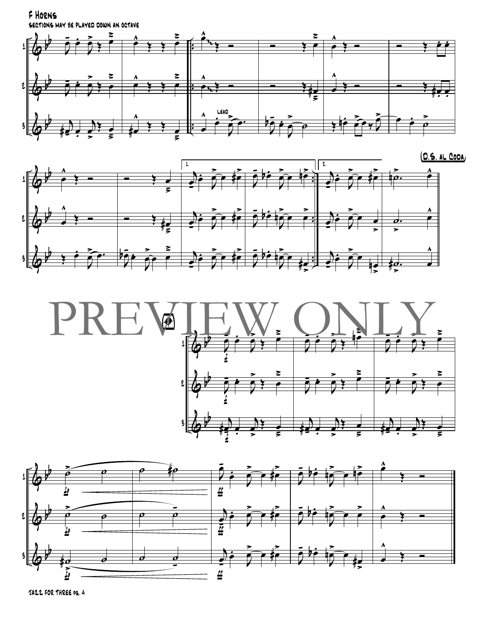F HORNS SECTIONS MAY BE PLAYED DOWN AN OCTAVE







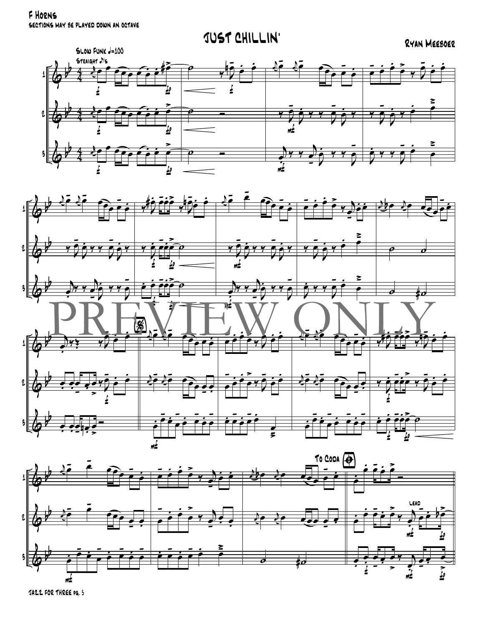F HORNS SECTIONS MAY BE PLAYED DOWN AN OCTAVE







JAZZ FOR THREE PG. 5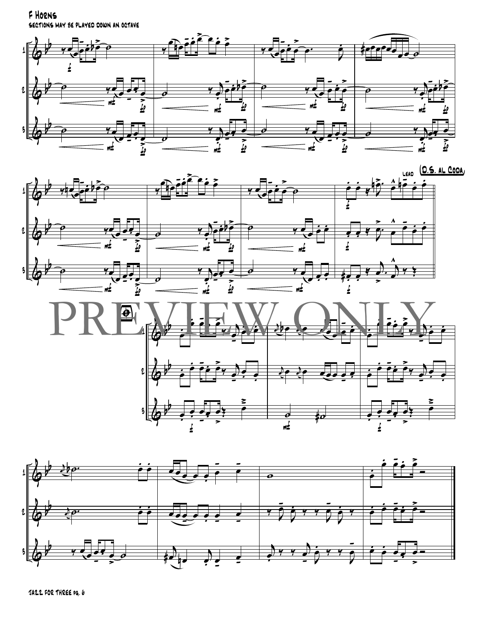F HORNS SECTIONS MAY BE PLAYED DOWN AN OCTAVE







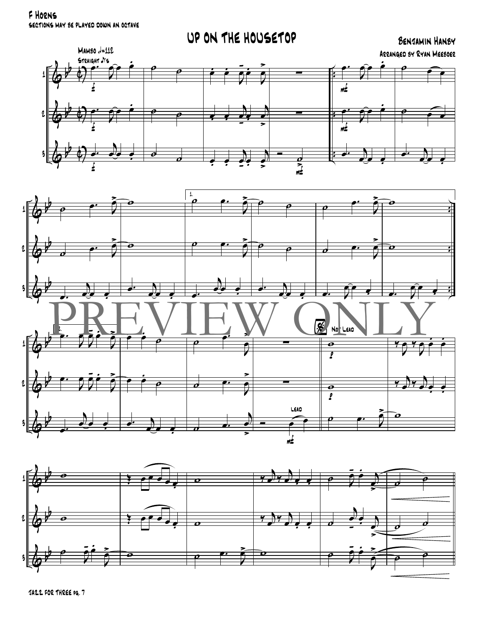F Horns sections may be played down an octave

### UP ON THE HOUSETOP BENJAMIN HANBY







JAZZ FOR THREE pg. 7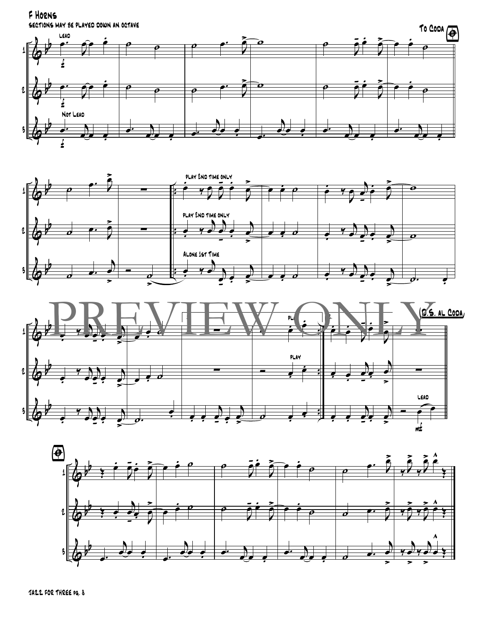F HORNS SECTIONS MAY BE PLAYED DOWN AN OCTAVE







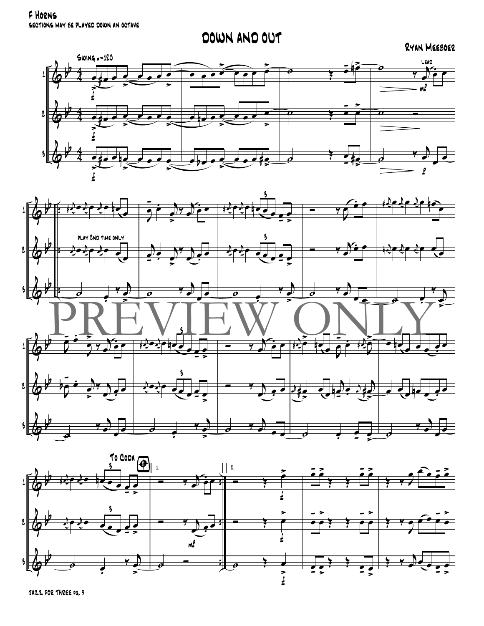F HORNS SECTIONS MAY BE PLAYED DOWN AN OCTAVE

### DOWN AND OUT

#### RYAN MEEBOER





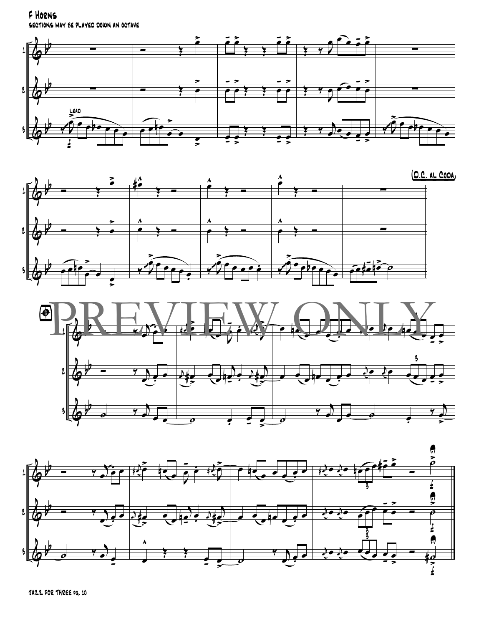F HORNS SECTIONS MAY BE PLAYED DOWN AN OCTAVE







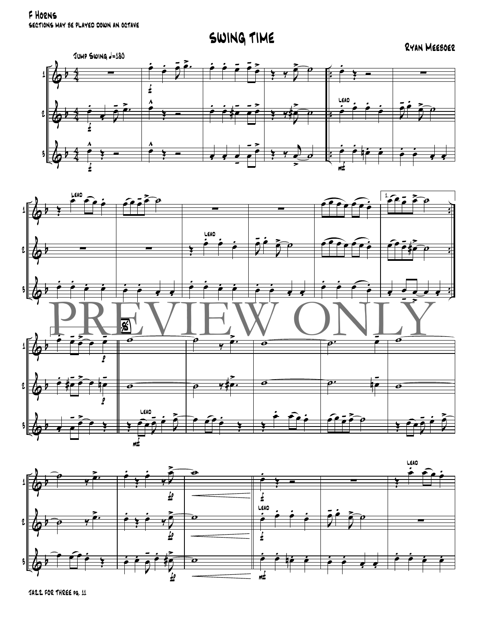F HORNS SECTIONS MAY BE PLAYED DOWN AN OCTAVE

SWING TIME

RYAN MEEBOER





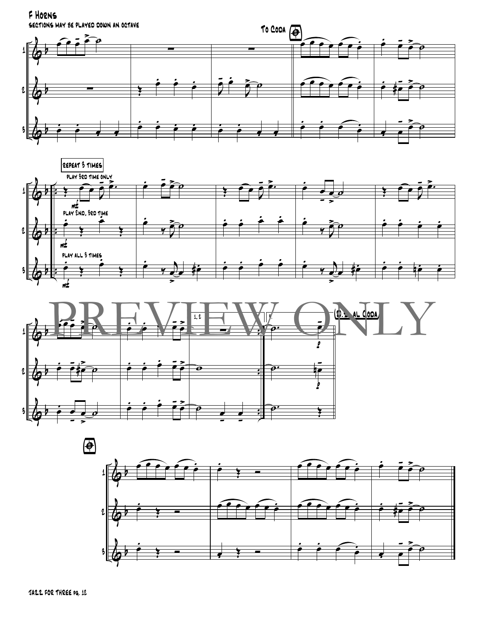F HORNS SECTIONS MAY BE PLAYED DOWN AN OCTAVE







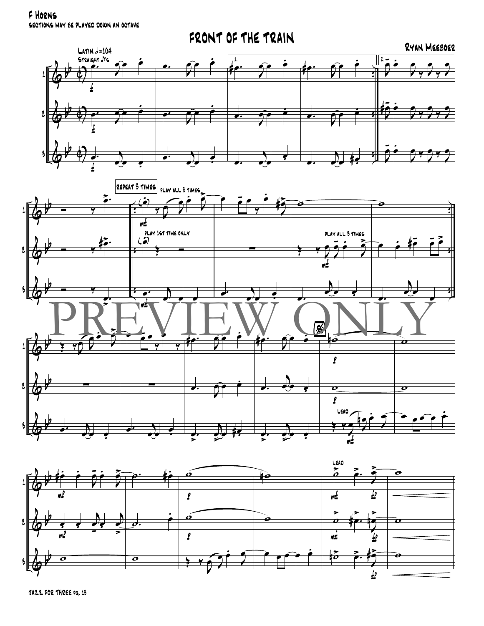F HORNS SECTIONS MAY BE PLAYED DOWN AN OCTAVE



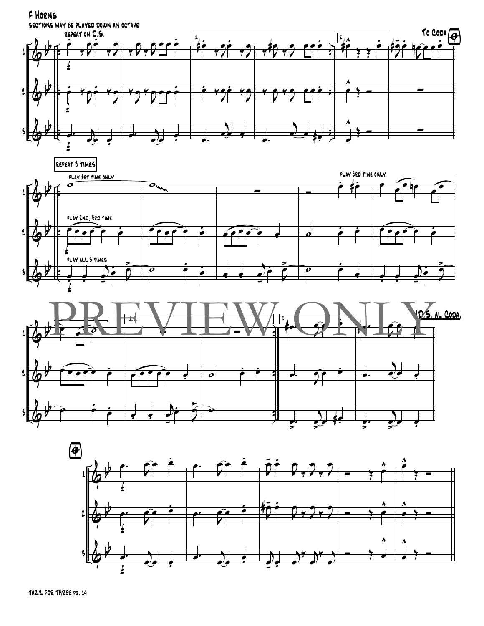







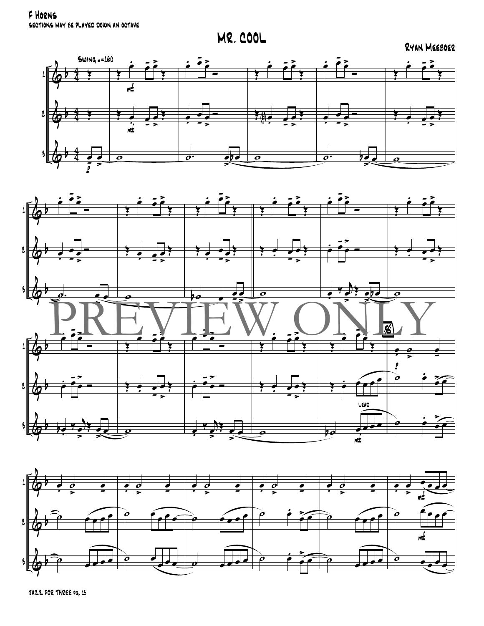F HORNS SECTIONS MAY BE PLAYED DOWN AN OCTAVE

**MR. COOL** 

RYAN MEEBOER





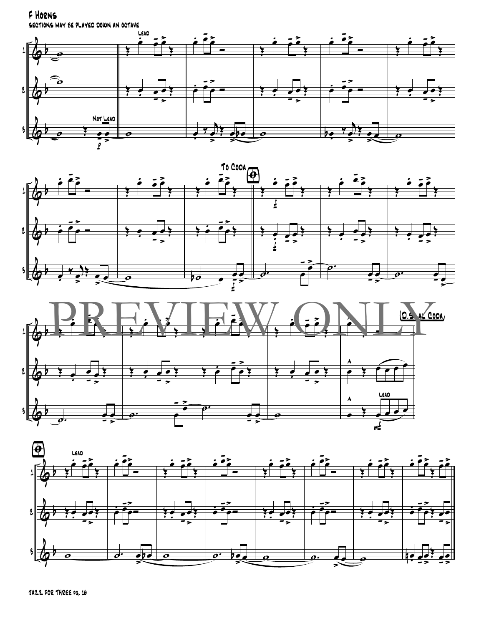F HORNS

SECTIONS MAY BE PLAYED DOWN AN OCTAVE







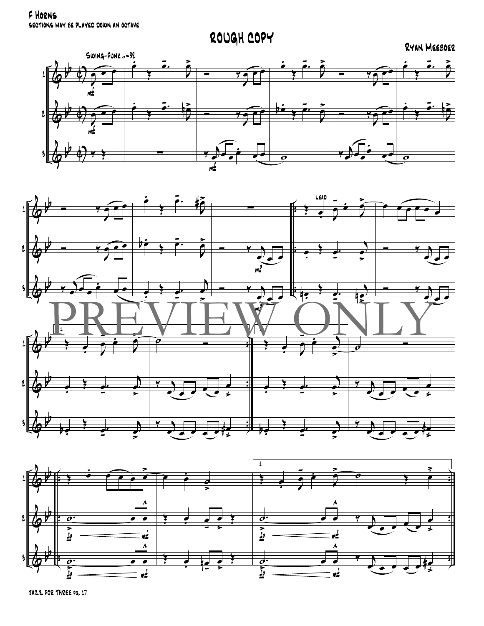F HORNS SECTIONS MAY BE PLAYED DOWN AN OCTAVE

ROUGH COPY

#### RYAN MEEBOER





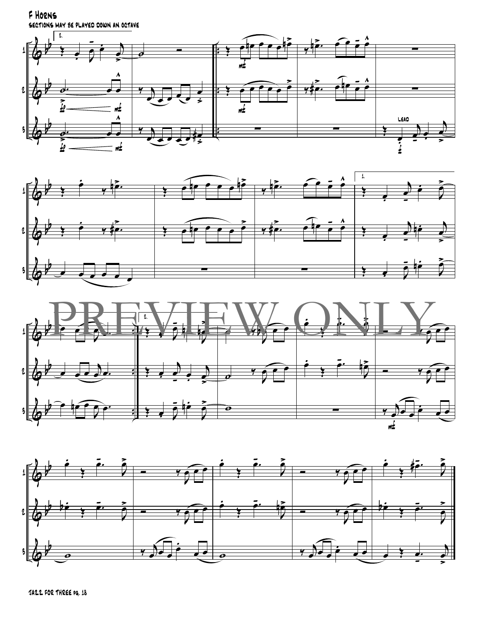F HORNS SECTIONS MAY BE PLAYED DOWN AN OCTAVE







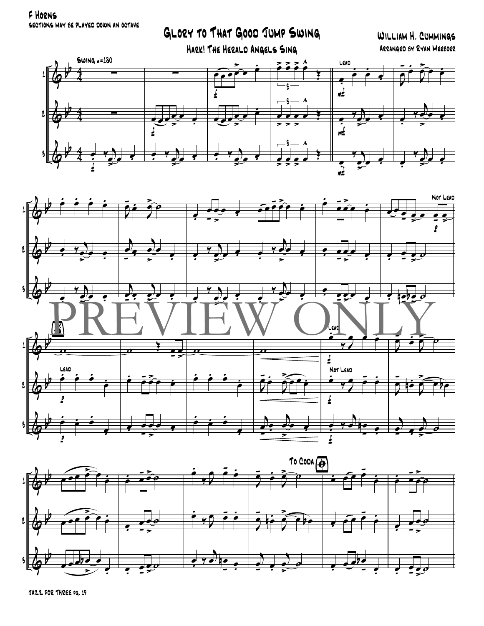F HORNS SECTIONS MAY BE PLAYED DOWN AN OCTAVE